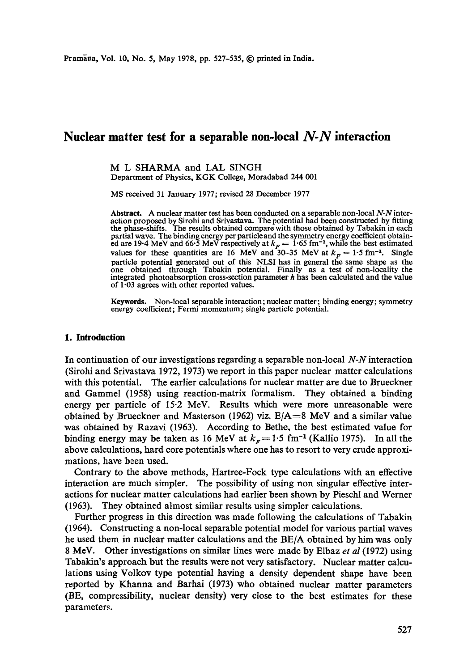# **Nuclear matter test for a separable non-local** *N-N* **interaction**

M L SHARMA and LAL SINGH Department of Physics, KGK College, Moradabad 244 001

MS received 31 January 1977; revised 28 December 1977

Abstract. A nuclear matter test has been conducted on a separable non-local *N-N* interaction proposed by Sirohi and Srivastava. The potential had been constructed by fitting the phase-shifts. The results obtained compare with those obtained by Tabakin in each partial wave. The binding energy per particleand the symmetry energy coefficient obtained are 19.4 MeV and 66.5 MeV respectively at  $k<sub>F</sub> = 1.65$  fm<sup>-1</sup>, while the best estimated values for these quantities are 16 MeV and 30-35 MeV at  $k_F = 1.5$  fm<sup>-1</sup>. Single particle potential generated out of this NLSI has in general the same shape as the one obtained through Tabakin potential. Finally as a test of non-locality the integrated photoabsorption cross-section parameter  $h$  has been calculated and the value of 1.03 agrees with other reported values.

**Keywords.** Non-local separable interaction; nuclear matter; binding energy; symmetry energy coefficient; Fermi momentum; single particle potential.

# **1. Introduction**

In continuation of our investigations regarding a separable non-local *N-N* interaction (Sirohi and Srivastava 1972, 1973) we report in this paper nuclear matter calculations with this potential. The earlier calculations for nuclear matter are due to Brueckner and Gammel (1958) using reaction-matrix formalism. They obtained a binding energy per particle of 15.2 MeV. Results which were more unreasonable were obtained by Brueckner and Masterson (1962) viz.  $E/A=8$  MeV and a similar value was obtained by Razavi (1963). According to Bethe, the best estimated value for binding energy may be taken as 16 MeV at  $k<sub>F</sub> = 1.5$  fm<sup>-1</sup> (Kallio 1975). In all the above calculations, hard core potentials where one has to resort to very crude approximations, have been used.

Contrary to the above methods, Hartree-Fock type calculations with an effective interaction are much simpler. The possibility of using non singular effective interactions for nuclear matter calculations had earlier been shown by Pieschl and Werner (1963). They obtained almost similar results using simpler calculations.

Further progress in this direction was made following the calculations of Tabakin (1964). Constructing a non-local separable potential model for various partial waves he used them in nuclear matter calculations and the *BE/A* obtained by him was only 8 MeV. Other investigations on similar lines were made by Elbaz *et al* (1972) using Tabakin's approach but the results were not very satisfactory. Nuclear matter calculations using Volkov type potential having a density dependent shape have been reported by Khanna and Barhai (1973) who obtained nuclear matter parameters (BE, compressibility, nuclear density) very close to the best estimates for these parameters.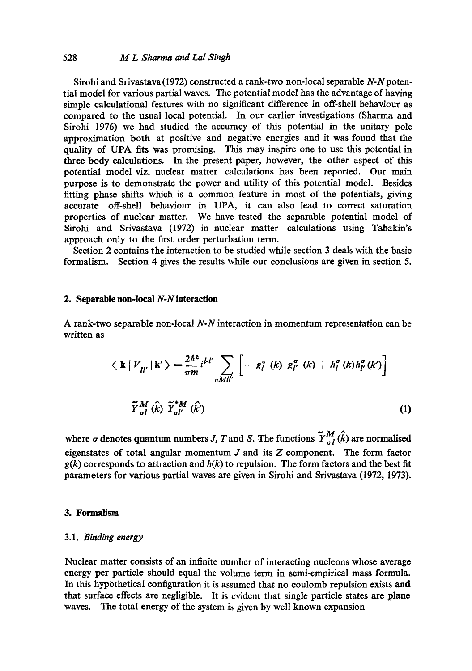Sirohi and Srivastava (1972) constructed a rank-two non-local separable *N-Npoten*tiai model for various partial waves. The potential model has the advantage of having simple calculational features with no significant difference in off-shell behaviour as compared to the usual local potential. In our earlier investigations (Sharma and Sirohi 1976) we had studied the accuracy of this potential in the unitary pole approximation both at positive and negative energies and it was found that the quality of UPA fits was promising. This may inspire one to use this potential in three body calculations. In the present paper, however, the other aspect of this potential model viz. nuclear matter calculations has been reported. Our main purpose is to demonstrate the power and utility of this potential model. Besides fitting phase shifts which is a common feature in most of the potentials, giving accurate off-shell behaviour in UPA, it can also lead to correct saturation properties of nuclear matter. We have tested the separable potential model of Sirohi and Srivastava (1972) in nuclear matter calculations using Tabakin's approach only to the first order perturbation term.

Section 2 contains the interaction to be studied while section 3 deals with the basic formalism. Section 4 gives the results while our conclusions are given in section 5.

# **2. Separable non-local** *N-Ninteraction*

A rank-two separable non-local *N-N* interaction in momentum representation can be written as

$$
\langle \mathbf{k} | V_{ll'} | \mathbf{k}' \rangle = \frac{2\hbar^2}{\pi m} i^{l'} \sum_{\sigma Mll'} \left[ -g_l^{\sigma} (k) g_{l'}^{\sigma} (k) + h_l^{\sigma} (k) h_{l'}^{\sigma} (k') \right]
$$
  

$$
\widetilde{Y}_{\sigma l}^{M} (\widehat{k}) \ \widetilde{Y}_{\sigma l'}^{*M} (\widehat{k'})
$$
 (1)

where  $\sigma$  denotes quantum numbers J, T and S. The functions  $\tilde{Y}_{\sigma l}^{M}(\hat{k})$  are normalised eigenstates of total angular momentum  $J$  and its  $Z$  component. The form factor  $g(k)$  corresponds to attraction and  $h(k)$  to repulsion. The form factors and the best fit parameters for various partial waves are given in Sirohi and Srivastava (1972, 1973).

#### **3. Formalism**

#### 3.1. *Binding energy*

Nuclear matter consists of an infinite number of interacting nucleons whose average energy per particle should equal the volume term in semi-empirical mass formula. In this hypothetical configuration it is assumed that no coulomb repulsion exists **and**  that surface effects are negligible. It is evident that single particle states are plane waves. The total energy of the system is given by well known expansion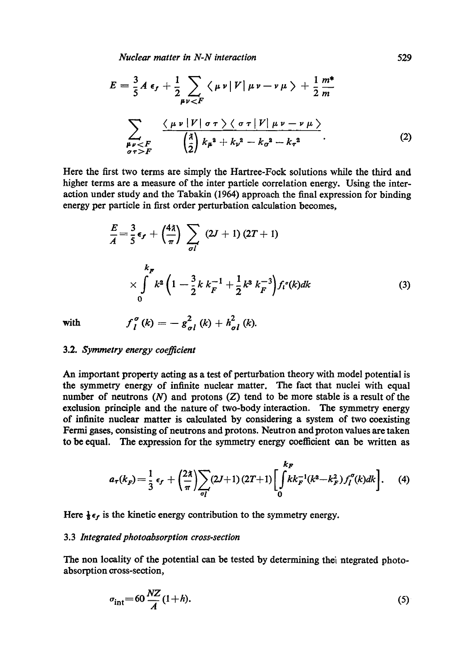*Nuclear matter in N-N interaction* 529

$$
E = \frac{3}{5} A \epsilon_f + \frac{1}{2} \sum_{\mu\nu < F} \langle \mu \nu | V | \mu \nu - \nu \mu \rangle + \frac{1}{2} \frac{m^*}{m}
$$
\n
$$
\sum_{\substack{\mu\nu < F \\ \sigma \tau > F}} \frac{\langle \mu \nu | V | \sigma \tau \rangle \langle \sigma \tau | V | \mu \nu - \nu \mu \rangle}{\left(\frac{3}{2}\right) k_{\mu}{}^{2} + k_{\nu}{}^{2} - k_{\sigma}{}^{2} - k_{\tau}{}^{2}}.
$$
\n(2)

Here the first two terms are simply the Hartree-Fock solutions while the third and higher terms are a measure of the inter particle correlation energy. Using the interaction under study and the Tabakin (1964) approach the final expression for binding energy per particle in first order perturbation calculation becomes,

$$
\frac{E}{A} = \frac{3}{5} \epsilon_f + \left(\frac{4\lambda}{\pi}\right) \sum_{\sigma l} (2J+1) (2T+1)
$$
\n
$$
\times \int_{0}^{k_F} k^2 \left(1 - \frac{3}{2} k \, k_F^{-1} + \frac{1}{2} k^3 \, k_F^{-3}\right) f_l^{\sigma}(k) dk \tag{3}
$$

with  $f_I^{\sigma}(k) = -g_{\sigma I}^2(k) + h_{\sigma I}^2(k).$ 

3.2. *Symmetry energy coefficient* 

An important property acting as a test of perturbation theory with model potential is the symmetry energy of infinite nuclear matter. The fact that nuclei with equal number of neutrons  $(N)$  and protons  $(Z)$  tend to be more stable is a result of the exclusion principle and the nature of two-body interaction. The symmetry energy of infinite nuclear matter is calculated by considering a system of two coexisting Fermi gases, consisting of neutrons and protons. Neutron and proton values are taken to be equal. The expression for the symmetry energy coefficient can be written as

$$
a_{\tau}(k_{F}) = \frac{1}{3} \epsilon_{f} + \left(\frac{2\lambda}{\pi}\right) \sum_{\sigma_{I}} (2J+1) (2T+1) \left[ \int_{0}^{k_{F}} k k_{F}^{-1}(k^{2} - k_{F}^{2}) f_{I}^{\sigma}(k) dk \right].
$$
 (4)

Here  $\frac{1}{3} \epsilon_f$  is the kinetic energy contribution to the symmetry energy.

#### 3.3 *Integrated photoabsorption cross-section*

The non locality of the potential can be tested by determining thei ntegrated photoabsorption cross-section,

$$
\sigma_{\rm int} = 60 \frac{NZ}{A} (1+h). \tag{5}
$$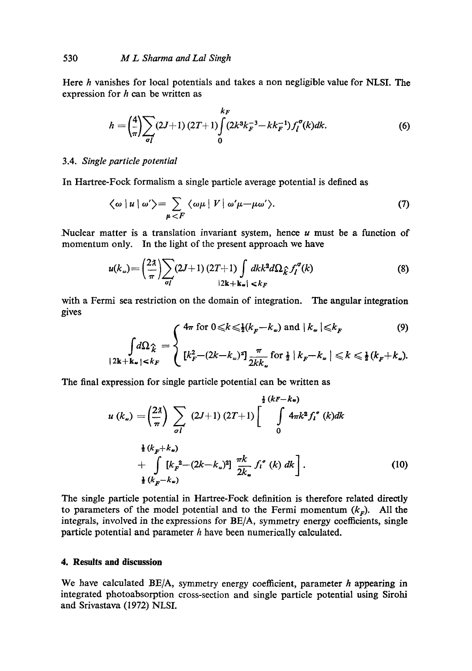Here  $h$  vanishes for local potentials and takes a non negligible value for NLSI. The expression for  $h$  can be written as

$$
h = \left(\frac{4}{\pi}\right) \sum_{\sigma I} (2J+1) (2T+1) \int_{0}^{k_F} (2k^3 k_F^{-3} - k k_F^{-1}) f_I^{\sigma}(k) dk.
$$
 (6)

## 3.4. *Single particle potential*

In Hartree-Fock formalism a single particle average potential is defined as

$$
\langle \omega \mid u \mid \omega' \rangle = \sum_{\mu < F} \langle \omega \mu \mid V \mid \omega' \mu - \mu \omega' \rangle. \tag{7}
$$

Nuclear matter is a translation invariant system, hence  $u$  must be a function of momentum only. In the light of the present approach we have

$$
u(k_{\omega}) = \left(\frac{2\lambda}{\pi}\right) \sum_{\sigma l} (2J+1) (2T+1) \int dk k^2 d\Omega_k \hat{f}_l^{\sigma}(k)
$$
(8)

with a Fermi sea restriction on the domain of integration. The angular integration gives

$$
\int 4\pi \text{ for } 0 \leq k \leq \frac{1}{2}(k_F - k_\omega) \text{ and } |k_\omega| \leq k_F \tag{9}
$$

$$
\int d\Omega_{\hat{k}} = \begin{cases} 4\pi \text{ for } 0 \leq k \leq \frac{1}{2}(k_F - k_\omega) \text{ and } |k_\omega| \leq k_F & (9) \\ \left[k_F^2 - (2k - k_\omega)^2\right] \frac{\pi}{2kk_\omega} \text{ for } \frac{1}{2} |k_F - k_\omega| \leq k \leq \frac{1}{2}(k_F + k_\omega). \end{cases}
$$

The final expression for single particle potential can be written as

$$
u(k_{\omega}) = \left(\frac{2\lambda}{\pi}\right) \sum_{\sigma I} (2J+1) (2T+1) \left[\int_{0}^{\frac{1}{2}(kF-k_{\omega})} 4\pi k^{2} f_{l}^{\sigma}(k)dk + \int_{\frac{1}{2}(k_{F}^{2}-(2k-k_{\omega})^{2}] \frac{\pi k}{2k_{\omega}} f_{l}^{\sigma}(k) dk \right].
$$
\n(10)

The single particle potential in Hartree-Foek definition is therefore related directly to parameters of the model potential and to the Fermi momentum  $(k_F)$ . All the integrals, involved in the expressions for BE/A, symmetry energy coefficients, single particle potential and parameter h have been numerically calculated.

# **4. Results and discussion**

We have calculated BE/A, symmetry energy coefficient, parameter h appearing in integrated photoabsorption cross-section and single particle potential using Sirohi and Srivastava (1972) NLSI.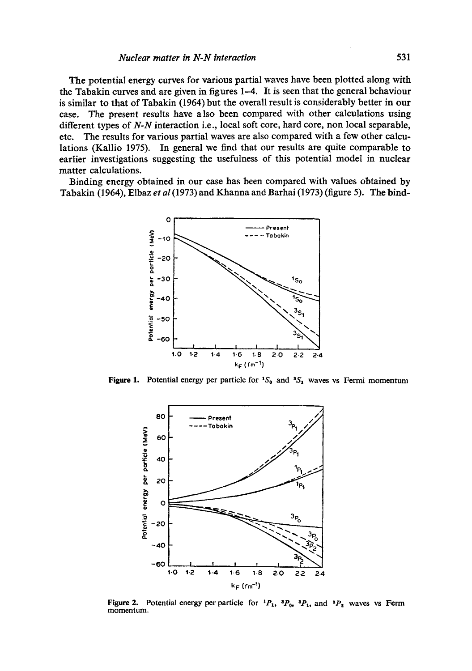# *Nuclear matter in N-N interaction* 531

The potential energy curves for various partial waves have been plotted along with the Tabakin curves and are given in figures 1-4. It is seen that the general behaviour is similar to that of Tabakin (1964) but the overall result is considerably better in our case. The present results have also been compared with other calculations using different types of *N-N* interaction i.e., local soft core, hard core, non local separable, etc. The results for various partial waves are also compared with a few other calculations (Kallio 1975). In general we find that our results are quite comparable to earlier investigations suggesting the usefulness of this potential model in nuclear matter calculations.

Binding energy obtained in our case has been compared with values obtained by Tabakin (1964), Elbaz *et al* (1973) and Khanna and Barhai (1973) (figure 5). The bind-



Figure 1. Potential energy per particle for  ${}^{1}S_{0}$  and  ${}^{3}S_{1}$  waves vs Fermi momentum



Figure 2. Potential energy per particle for  ${}^{1}P_{1}$ ,  ${}^{3}P_{0}$ ,  ${}^{3}P_{1}$ , and  ${}^{3}P_{2}$  waves vs Ferm momentum.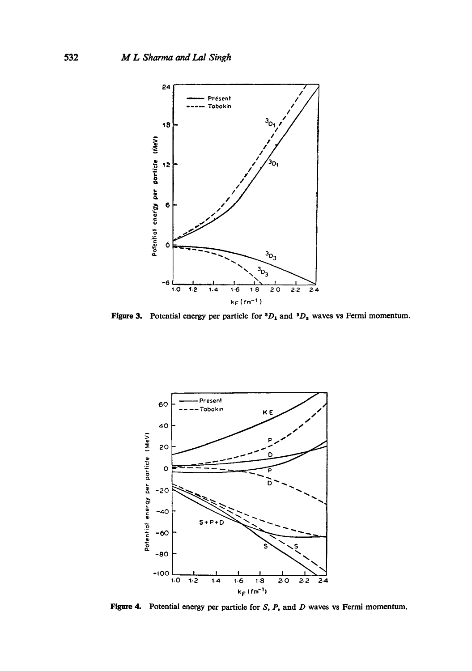

**Figure 3.** Potential energy per particle for  ${}^3D_1$  and  ${}^3D_3$  waves vs Fermi momentum.



**Figure 4.** Potential energy per particle for S, P, and D waves vs Fermi momentum.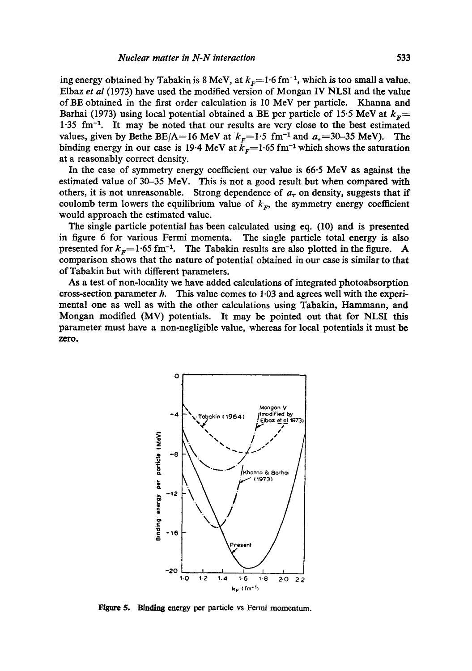ing energy obtained by Tabakin is 8 MeV, at  $k_F$ =1.6 fm<sup>-1</sup>, which is too small a value. Elbaz *et al* (1973) have used the modified version of Mongan IV NLSI and the value of BE obtained in the first order calculation is 10 MeV per particle. Khanna and Barhai (1973) using local potential obtained a BE per particle of 15.5 MeV at  $k<sub>F</sub>=$  $1.35$  fm<sup>-1</sup>. It may be noted that our results are very close to the best estimated values, given by Bethe BE/A=16 MeV at  $k<sub>F</sub>=1.5$  fm<sup>-1</sup> and  $a<sub>r</sub>=30-35$  MeV). The binding energy in our case is 19.4 MeV at  $k<sub>F</sub>=1.65$  fm<sup>-1</sup> which shows the saturation at a reasonably correct density.

In the case of symmetry energy coefficient our value is 66.5 MeV as against the estimated value of 30-35 MeV. This is not a good result but when compared with others, it is not unreasonable. Strong dependence of  $a<sub>\tau</sub>$  on density, suggests that if coulomb term lowers the equilibrium value of  $k<sub>r</sub>$ , the symmetry energy coefficient would approach the estimated value.

The single particle potential has been calculated using eq. (10) and is presented in figure 6 for various Fermi momenta. The single particle total energy is also presented for  $k_F= 1.65$  fm<sup>-1</sup>. The Tabakin results are also plotted in the figure. A comparison shows that the nature of potential obtained in our case is similar to that of Tabakin but with different parameters.

As a test of non-locality we have added calculations of integrated photoabsorption cross-section parameter  $h$ . This value comes to  $1.03$  and agrees well with the experimental one as well as with the other calculations using Tabakin, Hammann, and Mongan modified (MV) potentials. It may be pointed out that for NLSI this parameter must have a non-negligible value, whereas for local potentials it must be zero.



Figure 5. Binding energy per particle vs Fermi momentum.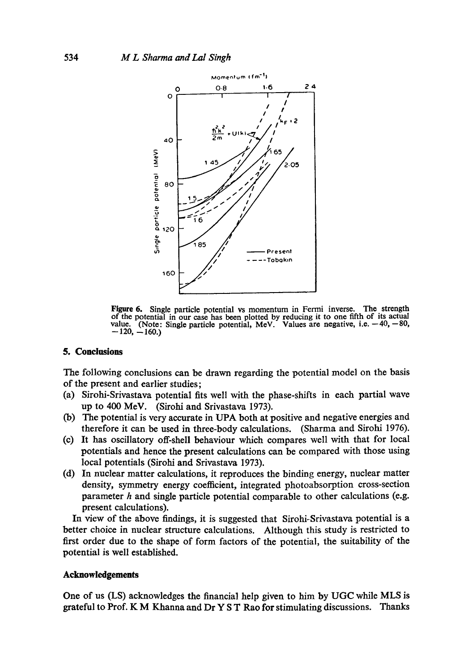

Figure 6. Single particle potential vs momentum in Fermi inverse. The strength of the potential in our case has been plotted by reducing it to one fifth of its actual value. (Note: Single particle potential, MeV. Values are negative, i.e.  $-40, -80$ ,  $-120, -160.$ 

### **5. Conclusions**

The following conclusions can be drawn regarding the potential model on the basis of the present and earlier studies;

- (a) Sirohi-Srivastava potential fits well with the phase-shifts in each partial wave up to 400 MeV. (Sirohi and Srivastava 1973).
- (b) The potential is very accurate in UPA both at positive and negative energies and therefore it can be used in three-body calculations. (Sharma and Sirohi 1976).
- (c) It has oscillatory off-shell behaviour which compares well with that for local potentials and hence the present calculations can be compared with those using local potentials (Sirohi and Srivastava 1973).
- (d) In nuclear matter calculations, it reproduces the binding energy, nuclear matter density, symmetry energy coefficient, integrated photoabsorption cross-section parameter  $h$  and single particle potential comparable to other calculations (e.g. present calculations).

In view of the above findings, it is suggested that Sirohi-Srivastava potential is a better choice in nuclear structure calculations. Although this study is restricted to first order due to the shape of form factors of the potential, the suitability of the potential is well established.

#### **Acknowledgements**

One of us (LS) acknowledges the financial help given to him by UGC while MLS is grateful to Prof. K M Khanna and Dr Y S T Rao for stimulating discussions. Thanks